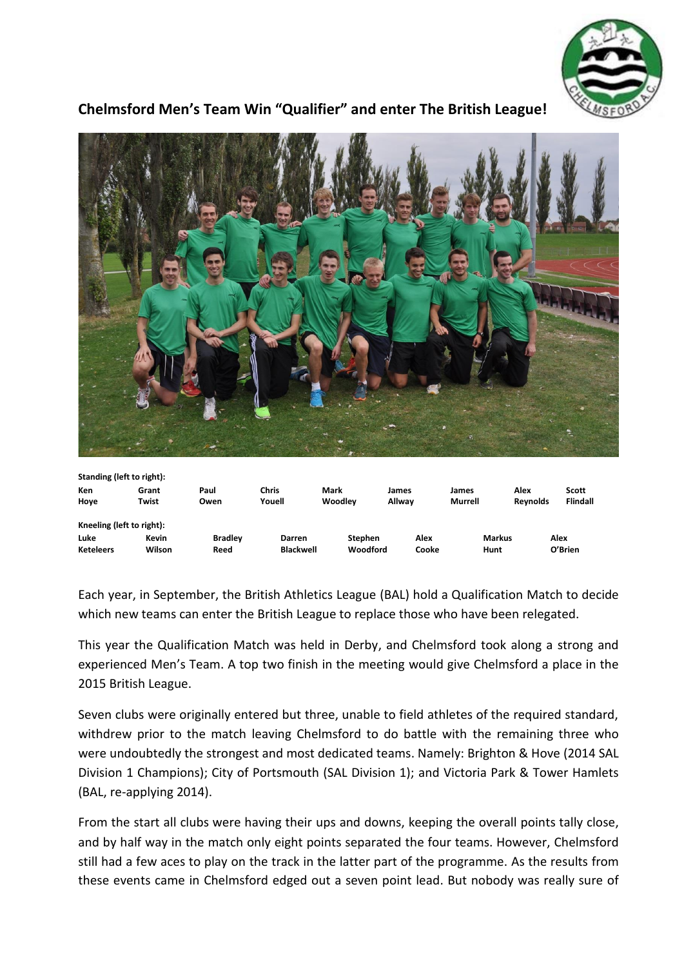

## **Chelmsford Men's Team Win "Qualifier" and enter The British League!**



| Standing (left to right). |        |                |                  |                |        |               |                 |                 |
|---------------------------|--------|----------------|------------------|----------------|--------|---------------|-----------------|-----------------|
| Ken                       | Grant  | Paul           | Chris            | Mark           | James  | James         | Alex            | Scott           |
| Hoye                      | Twist  | Owen           | Youell           | Woodlev        | Allwav | Murrell       | <b>Revnolds</b> | <b>Flindall</b> |
| Kneeling (left to right): |        |                |                  |                |        |               |                 |                 |
| Luke                      | Kevin  | <b>Bradley</b> | Darren           | <b>Stephen</b> | Alex   | <b>Markus</b> |                 | Alex            |
| <b>Keteleers</b>          | Wilson | Reed           | <b>Blackwell</b> | Woodford       | Cooke  | Hunt          |                 | O'Brien         |

Each year, in September, the British Athletics League (BAL) hold a Qualification Match to decide which new teams can enter the British League to replace those who have been relegated.

This year the Qualification Match was held in Derby, and Chelmsford took along a strong and experienced Men's Team. A top two finish in the meeting would give Chelmsford a place in the 2015 British League.

Seven clubs were originally entered but three, unable to field athletes of the required standard, withdrew prior to the match leaving Chelmsford to do battle with the remaining three who were undoubtedly the strongest and most dedicated teams. Namely: Brighton & Hove (2014 SAL Division 1 Champions); City of Portsmouth (SAL Division 1); and Victoria Park & Tower Hamlets (BAL, re-applying 2014).

From the start all clubs were having their ups and downs, keeping the overall points tally close, and by half way in the match only eight points separated the four teams. However, Chelmsford still had a few aces to play on the track in the latter part of the programme. As the results from these events came in Chelmsford edged out a seven point lead. But nobody was really sure of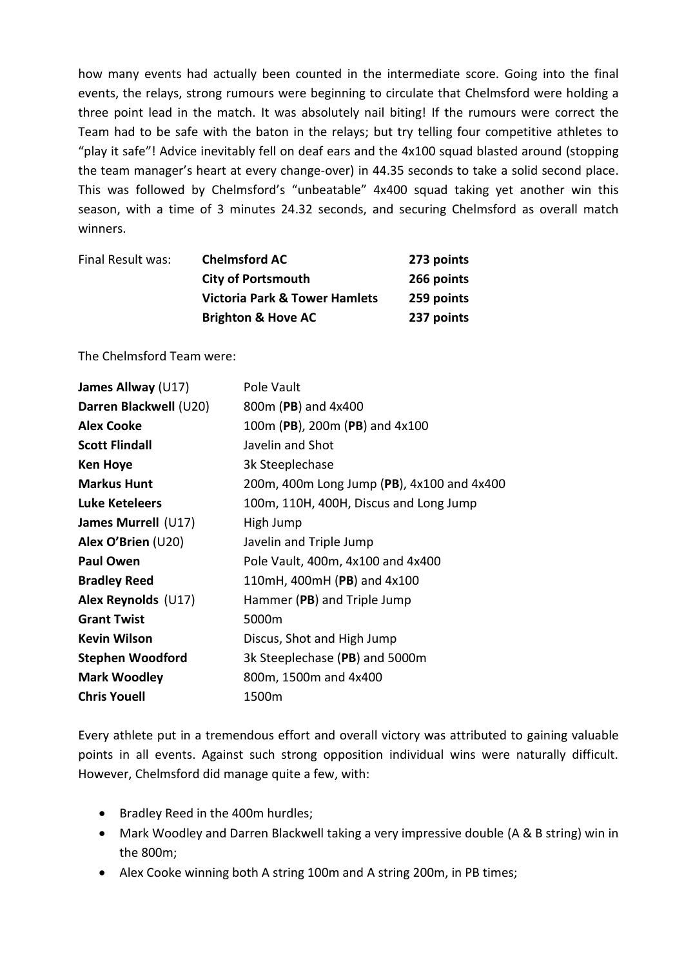how many events had actually been counted in the intermediate score. Going into the final events, the relays, strong rumours were beginning to circulate that Chelmsford were holding a three point lead in the match. It was absolutely nail biting! If the rumours were correct the Team had to be safe with the baton in the relays; but try telling four competitive athletes to "play it safe"! Advice inevitably fell on deaf ears and the 4x100 squad blasted around (stopping the team manager's heart at every change-over) in 44.35 seconds to take a solid second place. This was followed by Chelmsford's "unbeatable" 4x400 squad taking yet another win this season, with a time of 3 minutes 24.32 seconds, and securing Chelmsford as overall match winners.

| Final Result was: | <b>Chelmsford AC</b>                     | 273 points |
|-------------------|------------------------------------------|------------|
|                   | <b>City of Portsmouth</b>                | 266 points |
|                   | <b>Victoria Park &amp; Tower Hamlets</b> | 259 points |
|                   | <b>Brighton &amp; Hove AC</b>            | 237 points |

The Chelmsford Team were:

| James Allway (U17)      | Pole Vault                                 |
|-------------------------|--------------------------------------------|
| Darren Blackwell (U20)  | 800m (PB) and 4x400                        |
| <b>Alex Cooke</b>       | 100m (PB), 200m (PB) and 4x100             |
| <b>Scott Flindall</b>   | Javelin and Shot                           |
| <b>Ken Hoye</b>         | 3k Steeplechase                            |
| <b>Markus Hunt</b>      | 200m, 400m Long Jump (PB), 4x100 and 4x400 |
| Luke Keteleers          | 100m, 110H, 400H, Discus and Long Jump     |
| James Murrell (U17)     | High Jump                                  |
| Alex O'Brien (U20)      | Javelin and Triple Jump                    |
| <b>Paul Owen</b>        | Pole Vault, 400m, 4x100 and 4x400          |
| <b>Bradley Reed</b>     | 110mH, 400mH (PB) and 4x100                |
| Alex Reynolds (U17)     | Hammer (PB) and Triple Jump                |
| <b>Grant Twist</b>      | 5000m                                      |
| <b>Kevin Wilson</b>     | Discus, Shot and High Jump                 |
| <b>Stephen Woodford</b> | 3k Steeplechase (PB) and 5000m             |
| <b>Mark Woodley</b>     | 800m, 1500m and 4x400                      |
| <b>Chris Youell</b>     | 1500m                                      |
|                         |                                            |

Every athlete put in a tremendous effort and overall victory was attributed to gaining valuable points in all events. Against such strong opposition individual wins were naturally difficult. However, Chelmsford did manage quite a few, with:

- Bradley Reed in the 400m hurdles;
- Mark Woodley and Darren Blackwell taking a very impressive double (A & B string) win in the 800m;
- Alex Cooke winning both A string 100m and A string 200m, in PB times;